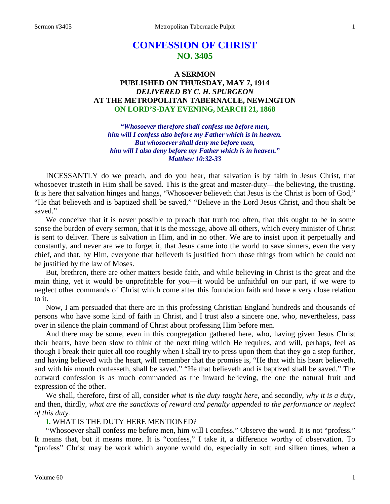# **CONFESSION OF CHRIST NO. 3405**

# **A SERMON PUBLISHED ON THURSDAY, MAY 7, 1914** *DELIVERED BY C. H. SPURGEON* **AT THE METROPOLITAN TABERNACLE, NEWINGTON ON LORD'S-DAY EVENING, MARCH 21, 1868**

*"Whosoever therefore shall confess me before men, him will I confess also before my Father which is in heaven. But whosoever shall deny me before men, him will I also deny before my Father which is in heaven." Matthew 10:32-33*

INCESSANTLY do we preach, and do you hear, that salvation is by faith in Jesus Christ, that whosoever trusteth in Him shall be saved. This is the great and master-duty—the believing, the trusting. It is here that salvation hinges and hangs, "Whosoever believeth that Jesus is the Christ is born of God," "He that believeth and is baptized shall be saved," "Believe in the Lord Jesus Christ, and thou shalt be saved."

We conceive that it is never possible to preach that truth too often, that this ought to be in some sense the burden of every sermon, that it is the message, above all others, which every minister of Christ is sent to deliver. There is salvation in Him, and in no other. We are to insist upon it perpetually and constantly, and never are we to forget it, that Jesus came into the world to save sinners, even the very chief, and that, by Him, everyone that believeth is justified from those things from which he could not be justified by the law of Moses.

But, brethren, there are other matters beside faith, and while believing in Christ is the great and the main thing, yet it would be unprofitable for you—it would be unfaithful on our part, if we were to neglect other commands of Christ which come after this foundation faith and have a very close relation to it.

Now, I am persuaded that there are in this professing Christian England hundreds and thousands of persons who have some kind of faith in Christ, and I trust also a sincere one, who, nevertheless, pass over in silence the plain command of Christ about professing Him before men.

And there may be some, even in this congregation gathered here, who, having given Jesus Christ their hearts, have been slow to think of the next thing which He requires, and will, perhaps, feel as though I break their quiet all too roughly when I shall try to press upon them that they go a step further, and having believed with the heart, will remember that the promise is, "He that with his heart believeth, and with his mouth confesseth, shall be saved." "He that believeth and is baptized shall be saved." The outward confession is as much commanded as the inward believing, the one the natural fruit and expression of the other.

We shall, therefore, first of all, consider *what is the duty taught here,* and secondly, *why it is a duty,* and then, thirdly, *what are the sanctions of reward and penalty appended to the performance or neglect of this duty.*

# **I.** WHAT IS THE DUTY HERE MENTIONED?

"Whosoever shall confess me before men, him will I confess." Observe the word. It is not "profess." It means that, but it means more. It is "confess," I take it, a difference worthy of observation. To "profess" Christ may be work which anyone would do, especially in soft and silken times, when a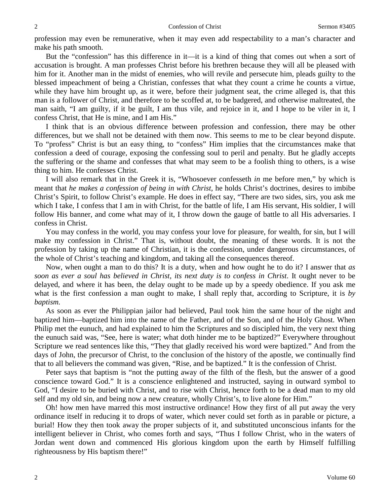profession may even be remunerative, when it may even add respectability to a man's character and make his path smooth.

But the "confession" has this difference in it—it is a kind of thing that comes out when a sort of accusation is brought. A man professes Christ before his brethren because they will all be pleased with him for it. Another man in the midst of enemies, who will revile and persecute him, pleads guilty to the blessed impeachment of being a Christian, confesses that what they count a crime he counts a virtue, while they have him brought up, as it were, before their judgment seat, the crime alleged is, that this man is a follower of Christ, and therefore to be scoffed at, to be badgered, and otherwise maltreated, the man saith, "I am guilty, if it be guilt, I am thus vile, and rejoice in it, and I hope to be viler in it, I confess Christ, that He is mine, and I am His."

I think that is an obvious difference between profession and confession, there may be other differences, but we shall not be detained with them now. This seems to me to be clear beyond dispute. To "profess" Christ is but an easy thing, to "confess" Him implies that the circumstances make that confession a deed of courage, exposing the confessing soul to peril and penalty. But he gladly accepts the suffering or the shame and confesses that what may seem to be a foolish thing to others, is a wise thing to him. He confesses Christ.

I will also remark that in the Greek it is, "Whosoever confesseth *in* me before men," by which is meant that *he makes a confession of being in with Christ,* he holds Christ's doctrines, desires to imbibe Christ's Spirit, to follow Christ's example. He does in effect say, "There are two sides, sirs, you ask me which I take, I confess that I am in with Christ, for the battle of life, I am His servant, His soldier, I will follow His banner, and come what may of it, I throw down the gauge of battle to all His adversaries. I confess in Christ.

You may confess in the world, you may confess your love for pleasure, for wealth, for sin, but I will make my confession in Christ." That is, without doubt, the meaning of these words. It is not the profession by taking up the name of Christian, it is the confession, under dangerous circumstances, of the whole of Christ's teaching and kingdom, and taking all the consequences thereof.

Now, when ought a man to do this? It is a duty, when and how ought he to do it? I answer that *as soon as ever a soul has believed in Christ, its next duty is to confess in Christ*. It ought never to be delayed, and where it has been, the delay ought to be made up by a speedy obedience. If you ask me what is the first confession a man ought to make, I shall reply that, according to Scripture, it is *by baptism.*

As soon as ever the Philippian jailor had believed, Paul took him the same hour of the night and baptized him—baptized him into the name of the Father, and of the Son, and of the Holy Ghost. When Philip met the eunuch, and had explained to him the Scriptures and so discipled him, the very next thing the eunuch said was, "See, here is water; what doth hinder me to be baptized?" Everywhere throughout Scripture we read sentences like this, "They that gladly received his word were baptized." And from the days of John, the precursor of Christ, to the conclusion of the history of the apostle, we continually find that to all believers the command was given, "Rise, and be baptized." It is the confession of Christ.

Peter says that baptism is "not the putting away of the filth of the flesh, but the answer of a good conscience toward God." It is a conscience enlightened and instructed, saying in outward symbol to God, "I desire to be buried with Christ, and to rise with Christ, hence forth to be a dead man to my old self and my old sin, and being now a new creature, wholly Christ's, to live alone for Him."

Oh! how men have marred this most instructive ordinance! How they first of all put away the very ordinance itself in reducing it to drops of water, which never could set forth as in parable or picture, a burial! How they then took away the proper subjects of it, and substituted unconscious infants for the intelligent believer in Christ, who comes forth and says, "Thus I follow Christ, who in the waters of Jordan went down and commenced His glorious kingdom upon the earth by Himself fulfilling righteousness by His baptism there!"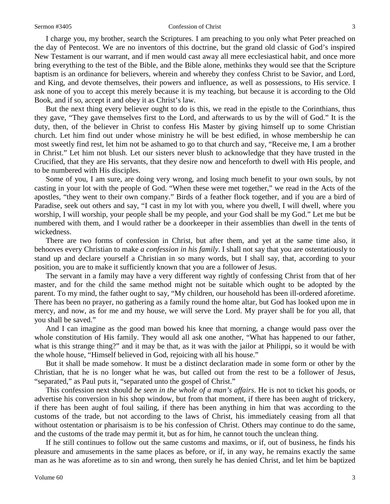#### Sermon #3405 Confession of Christ 3

I charge you, my brother, search the Scriptures. I am preaching to you only what Peter preached on the day of Pentecost. We are no inventors of this doctrine, but the grand old classic of God's inspired New Testament is our warrant, and if men would cast away all mere ecclesiastical habit, and once more bring everything to the test of the Bible, and the Bible alone, methinks they would see that the Scripture baptism is an ordinance for believers, wherein and whereby they confess Christ to be Savior, and Lord, and King, and devote themselves, their powers and influence, as well as possessions, to His service. I ask none of you to accept this merely because it is my teaching, but because it is according to the Old Book, and if so, accept it and obey it as Christ's law.

But the next thing every believer ought to do is this, we read in the epistle to the Corinthians, thus they gave, "They gave themselves first to the Lord, and afterwards to us by the will of God." It is the duty, then, of the believer in Christ to confess His Master by giving himself up to some Christian church. Let him find out under whose ministry he will be best edified, in whose membership he can most sweetly find rest, let him not be ashamed to go to that church and say, "Receive me, I am a brother in Christ." Let him not blush. Let our sisters never blush to acknowledge that they have trusted in the Crucified, that they are His servants, that they desire now and henceforth to dwell with His people, and to be numbered with His disciples.

Some of you, I am sure, are doing very wrong, and losing much benefit to your own souls, by not casting in your lot with the people of God. "When these were met together," we read in the Acts of the apostles, "they went to their own company." Birds of a feather flock together, and if you are a bird of Paradise, seek out others and say, "I cast in my lot with you, where you dwell, I will dwell, where you worship, I will worship, your people shall be my people, and your God shall be my God." Let me but be numbered with them, and I would rather be a doorkeeper in their assemblies than dwell in the tents of wickedness.

There are two forms of confession in Christ, but after them, and yet at the same time also, it behooves every Christian to make *a confession in his family*. I shall not say that you are ostentatiously to stand up and declare yourself a Christian in so many words, but I shall say, that, according to your position, you are to make it sufficiently known that you are a follower of Jesus.

The servant in a family may have a very different way rightly of confessing Christ from that of her master, and for the child the same method might not be suitable which ought to be adopted by the parent. To my mind, the father ought to say, "My children, our household has been ill-ordered aforetime. There has been no prayer, no gathering as a family round the home altar, but God has looked upon me in mercy, and now, as for me and my house, we will serve the Lord. My prayer shall be for you all, that you shall be saved."

And I can imagine as the good man bowed his knee that morning, a change would pass over the whole constitution of His family. They would all ask one another, "What has happened to our father, what is this strange thing?" and it may be that, as it was with the jailor at Philippi, so it would be with the whole house, "Himself believed in God, rejoicing with all his house."

But it shall be made somehow. It must be a distinct declaration made in some form or other by the Christian, that he is no longer what he was, but called out from the rest to be a follower of Jesus, "separated," as Paul puts it, "separated unto the gospel of Christ."

This confession next should *be seen in the whole of a man's affairs*. He is not to ticket his goods, or advertise his conversion in his shop window, but from that moment, if there has been aught of trickery, if there has been aught of foul sailing, if there has been anything in him that was according to the customs of the trade, but not according to the laws of Christ, his immediately ceasing from all that without ostentation or pharisaism is to be his confession of Christ. Others may continue to do the same, and the customs of the trade may permit it, but as for him, he cannot touch the unclean thing.

If he still continues to follow out the same customs and maxims, or if, out of business, he finds his pleasure and amusements in the same places as before, or if, in any way, he remains exactly the same man as he was aforetime as to sin and wrong, then surely he has denied Christ, and let him be baptized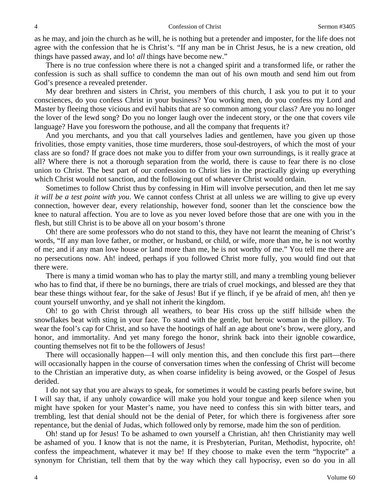as he may, and join the church as he will, he is nothing but a pretender and imposter, for the life does not agree with the confession that he is Christ's. "If any man be in Christ Jesus, he is a new creation, old things have passed away, and lo! *all* things have become new."

There is no true confession where there is not a changed spirit and a transformed life, or rather the confession is such as shall suffice to condemn the man out of his own mouth and send him out from God's presence a revealed pretender.

My dear brethren and sisters in Christ, you members of this church, I ask you to put it to your consciences, do you confess Christ in your business? You working men, do you confess my Lord and Master by fleeing those vicious and evil habits that are so common among your class? Are you no longer the lover of the lewd song? Do you no longer laugh over the indecent story, or the one that covers vile language? Have you foresworn the pothouse, and all the company that frequents it?

And you merchants, and you that call yourselves ladies and gentlemen, have you given up those frivolities, those empty vanities, those time murderers, those soul-destroyers, of which the most of your class are so fond? If grace does not make you to differ from your own surroundings, is it really grace at all? Where there is not a thorough separation from the world, there is cause to fear there is no close union to Christ. The best part of our confession to Christ lies in the practically giving up everything which Christ would not sanction, and the following out of whatever Christ would ordain.

Sometimes to follow Christ thus by confessing in Him will involve persecution, and then let me say *it will be a test point with you*. We cannot confess Christ at all unless we are willing to give up every connection, however dear, every relationship, however fond, sooner than let the conscience bow the knee to natural affection. You are to love as you never loved before those that are one with you in the flesh, but still Christ is to be above all on your bosom's throne

Oh! there are some professors who do not stand to this, they have not learnt the meaning of Christ's words, "If any man love father, or mother, or husband, or child, or wife, more than me, he is not worthy of me; and if any man love house or land more than me, he is not worthy of me." You tell me there are no persecutions now. Ah! indeed, perhaps if you followed Christ more fully, you would find out that there were.

There is many a timid woman who has to play the martyr still, and many a trembling young believer who has to find that, if there be no burnings, there are trials of cruel mockings, and blessed are they that bear these things without fear, for the sake of Jesus! But if ye flinch, if ye be afraid of men, ah! then ye count yourself unworthy, and ye shall not inherit the kingdom.

Oh! to go with Christ through all weathers, to bear His cross up the stiff hillside when the snowflakes beat with sting in your face. To stand with the gentle, but heroic woman in the pillory. To wear the fool's cap for Christ, and so have the hootings of half an age about one's brow, were glory, and honor, and immortality. And yet many forego the honor, shrink back into their ignoble cowardice, counting themselves not fit to be the followers of Jesus!

There will occasionally happen—I will only mention this, and then conclude this first part—there will occasionally happen in the course of conversation times when the confessing of Christ will become to the Christian an imperative duty, as when coarse infidelity is being avowed, or the Gospel of Jesus derided.

I do not say that you are always to speak, for sometimes it would be casting pearls before swine, but I will say that, if any unholy cowardice will make you hold your tongue and keep silence when you might have spoken for your Master's name, you have need to confess this sin with bitter tears, and trembling, lest that denial should not be the denial of Peter, for which there is forgiveness after sore repentance, but the denial of Judas, which followed only by remorse, made him the son of perdition.

Oh! stand up for Jesus! To be ashamed to own yourself a Christian, ah! then Christianity may well be ashamed of you. I know that is not the name, it is Presbyterian, Puritan, Methodist, hypocrite, oh! confess the impeachment, whatever it may be! If they choose to make even the term "hypocrite" a synonym for Christian, tell them that by the way which they call hypocrisy, even so do you in all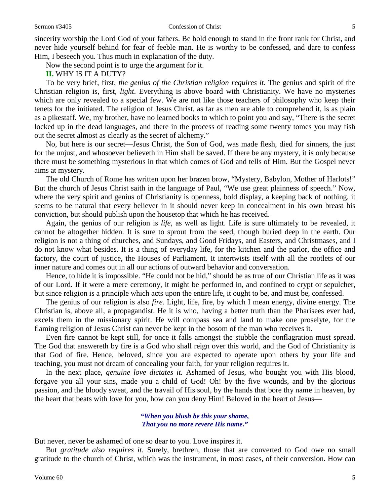### Sermon #3405 **Sermon #3405** Confession of Christ 5

sincerity worship the Lord God of your fathers. Be bold enough to stand in the front rank for Christ, and never hide yourself behind for fear of feeble man. He is worthy to be confessed, and dare to confess Him, I beseech you. Thus much in explanation of the duty.

Now the second point is to urge the argument for it.

**II.** WHY IS IT A DUTY?

To be very brief, first, *the genius of the Christian religion requires it*. The genius and spirit of the Christian religion is, first, *light*. Everything is above board with Christianity. We have no mysteries which are only revealed to a special few. We are not like those teachers of philosophy who keep their tenets for the initiated. The religion of Jesus Christ, as far as men are able to comprehend it, is as plain as a pikestaff. We, my brother, have no learned books to which to point you and say, "There is the secret locked up in the dead languages, and there in the process of reading some twenty tomes you may fish out the secret almost as clearly as the secret of alchemy."

No, but here is our secret—Jesus Christ, the Son of God, was made flesh, died for sinners, the just for the unjust, and whosoever believeth in Him shall be saved. If there be any mystery, it is only because there must be something mysterious in that which comes of God and tells of Him. But the Gospel never aims at mystery.

The old Church of Rome has written upon her brazen brow, "Mystery, Babylon, Mother of Harlots!" But the church of Jesus Christ saith in the language of Paul, "We use great plainness of speech." Now, where the very spirit and genius of Christianity is openness, bold display, a keeping back of nothing, it seems to be natural that every believer in it should never keep in concealment in his own breast his conviction, but should publish upon the housetop that which he has received.

Again, the genius of our religion is *life,* as well as light. Life is sure ultimately to be revealed, it cannot be altogether hidden. It is sure to sprout from the seed, though buried deep in the earth. Our religion is not a thing of churches, and Sundays, and Good Fridays, and Easters, and Christmases, and I do not know what besides. It is a thing of everyday life, for the kitchen and the parlor, the office and factory, the court of justice, the Houses of Parliament. It intertwists itself with all the rootlets of our inner nature and comes out in all our actions of outward behavior and conversation.

Hence, to hide it is impossible. "He could not be hid," should be as true of our Christian life as it was of our Lord. If it were a mere ceremony, it might be performed in, and confined to crypt or sepulcher, but since religion is a principle which acts upon the entire life, it ought to be, and must be, confessed.

The genius of our religion is also *fire.* Light, life, fire, by which I mean energy, divine energy. The Christian is, above all, a propagandist. He it is who, having a better truth than the Pharisees ever had, excels them in the missionary spirit. He will compass sea and land to make one proselyte, for the flaming religion of Jesus Christ can never be kept in the bosom of the man who receives it.

Even fire cannot be kept still, for once it falls amongst the stubble the conflagration must spread. The God that answereth by fire is a God who shall reign over this world, and the God of Christianity is that God of fire. Hence, beloved, since you are expected to operate upon others by your life and teaching, you must not dream of concealing your faith, for your religion requires it.

In the next place, *genuine love dictates it.* Ashamed of Jesus, who bought you with His blood, forgave you all your sins, made you a child of God! Oh! by the five wounds, and by the glorious passion, and the bloody sweat, and the travail of His soul, by the hands that bore thy name in heaven, by the heart that beats with love for you, how can you deny Him! Beloved in the heart of Jesus—

# *"When you blush be this your shame, That you no more revere His name."*

But never, never be ashamed of one so dear to you. Love inspires it.

But *gratitude also requires it*. Surely, brethren, those that are converted to God owe no small gratitude to the church of Christ, which was the instrument, in most cases, of their conversion. How can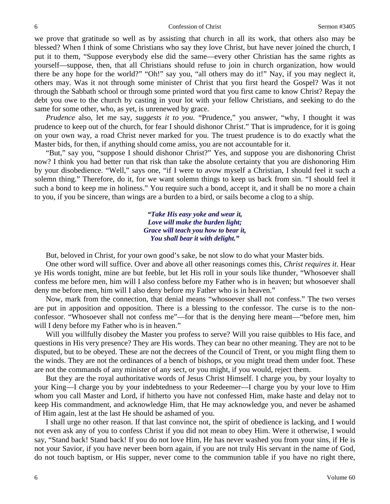we prove that gratitude so well as by assisting that church in all its work, that others also may be blessed? When I think of some Christians who say they love Christ, but have never joined the church, I put it to them, "Suppose everybody else did the same—every other Christian has the same rights as yourself—suppose, then, that all Christians should refuse to join in church organization, how would there be any hope for the world?" "Oh!" say you, "all others may do it!" Nay, if you may neglect it, others may. Was it not through some minister of Christ that you first heard the Gospel? Was it not through the Sabbath school or through some printed word that you first came to know Christ? Repay the debt you owe to the church by casting in your lot with your fellow Christians, and seeking to do the same for some other, who, as yet, is unrenewed by grace.

*Prudence* also, let me say, *suggests it to you.* "Prudence," you answer, "why, I thought it was prudence to keep out of the church, for fear I should dishonor Christ." That is imprudence, for it is going on your own way, a road Christ never marked for you. The truest prudence is to do exactly what the Master bids, for then, if anything should come amiss, you are not accountable for it.

"But," say you, "suppose I should dishonor Christ?" Yes, and suppose you are dishonoring Christ now? I think you had better run that risk than take the absolute certainty that you are dishonoring Him by your disobedience. "Well," says one, "if I were to avow myself a Christian, I should feel it such a solemn thing." Therefore, do it, for we want solemn things to keep us back from sin. "I should feel it such a bond to keep me in holiness." You require such a bond, accept it, and it shall be no more a chain to you, if you be sincere, than wings are a burden to a bird, or sails become a clog to a ship.

> *"Take His easy yoke and wear it, Love will make the burden light; Grace will teach you how to bear it, You shall bear it with delight."*

But, beloved in Christ, for your own good's sake, be not slow to do what your Master bids.

One other word will suffice. Over and above all other reasonings comes this, *Christ requires it*. Hear ye His words tonight, mine are but feeble, but let His roll in your souls like thunder, "Whosoever shall confess me before men, him will I also confess before my Father who is in heaven; but whosoever shall deny me before men, him will I also deny before my Father who is in heaven."

Now, mark from the connection, that denial means "whosoever shall not confess." The two verses are put in apposition and opposition. There is a blessing to the confessor. The curse is to the nonconfessor. "Whosoever shall not confess me"—for that is the denying here meant—"before men, him will I deny before my Father who is in heaven."

Will you willfully disobey the Master you profess to serve? Will you raise quibbles to His face, and questions in His very presence? They are His words. They can bear no other meaning. They are not to be disputed, but to be obeyed. These are not the decrees of the Council of Trent, or you might fling them to the winds. They are not the ordinances of a bench of bishops, or you might tread them under foot. These are not the commands of any minister of any sect, or you might, if you would, reject them.

But they are the royal authoritative words of Jesus Christ Himself. I charge you, by your loyalty to your King—I charge you by your indebtedness to your Redeemer—I charge you by your love to Him whom you call Master and Lord, if hitherto you have not confessed Him, make haste and delay not to keep His commandment, and acknowledge Him, that He may acknowledge you, and never be ashamed of Him again, lest at the last He should be ashamed of you.

I shall urge no other reason. If that last convince not, the spirit of obedience is lacking, and I would not even ask any of you to confess Christ if you did not mean to obey Him. Were it otherwise, I would say, "Stand back! Stand back! If you do not love Him, He has never washed you from your sins, if He is not your Savior, if you have never been born again, if you are not truly His servant in the name of God, do not touch baptism, or His supper, never come to the communion table if you have no right there,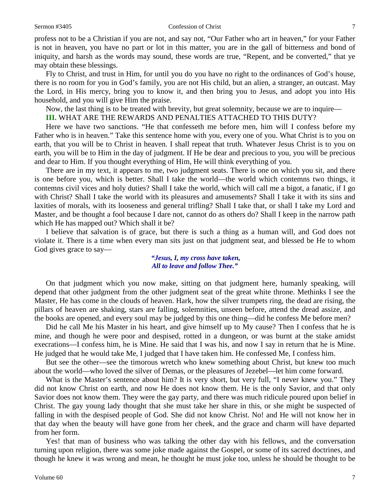profess not to be a Christian if you are not, and say not, "Our Father who art in heaven," for your Father is not in heaven, you have no part or lot in this matter, you are in the gall of bitterness and bond of iniquity, and harsh as the words may sound, these words are true, "Repent, and be converted," that ye may obtain these blessings.

Fly to Christ, and trust in Him, for until you do you have no right to the ordinances of God's house, there is no room for you in God's family, you are not His child, but an alien, a stranger, an outcast. May the Lord, in His mercy, bring you to know it, and then bring you to Jesus, and adopt you into His household, and you will give Him the praise.

Now, the last thing is to be treated with brevity, but great solemnity, because we are to inquire—

**III.** WHAT ARE THE REWARDS AND PENALTIES ATTACHED TO THIS DUTY?

Here we have two sanctions. "He that confesseth me before men, him will I confess before my Father who is in heaven." Take this sentence home with you, every one of you. What Christ is to you on earth, that you will be to Christ in heaven. I shall repeat that truth. Whatever Jesus Christ is to you on earth, you will be to Him in the day of judgment. If He be dear and precious to you, you will be precious and dear to Him. If you thought everything of Him, He will think everything of you.

There are in my text, it appears to me, two judgment seats. There is one on which you sit, and there is one before you, which is better. Shall I take the world—the world which contemns two things, it contemns civil vices and holy duties? Shall I take the world, which will call me a bigot, a fanatic, if I go with Christ? Shall I take the world with its pleasures and amusements? Shall I take it with its sins and laxities of morals, with its looseness and general trifling? Shall I take that, or shall I take my Lord and Master, and be thought a fool because I dare not, cannot do as others do? Shall I keep in the narrow path which He has mapped out? Which shall it be?

I believe that salvation is of grace, but there is such a thing as a human will, and God does not violate it. There is a time when every man sits just on that judgment seat, and blessed be He to whom God gives grace to say—

## *"Jesus, I, my cross have taken, All to leave and follow Thee."*

On that judgment which you now make, sitting on that judgment here, humanly speaking, will depend that other judgment from the other judgment seat of the great white throne. Methinks I see the Master, He has come in the clouds of heaven. Hark, how the silver trumpets ring, the dead are rising, the pillars of heaven are shaking, stars are falling, solemnities, unseen before, attend the dread assize, and the books are opened, and every soul may be judged by this one thing—did he confess Me before men?

Did he call Me his Master in his heart, and give himself up to My cause? Then I confess that he is mine, and though he were poor and despised, rotted in a dungeon, or was burnt at the stake amidst execrations—I confess him, he is Mine. He said that I was his, and now I say in return that he is Mine. He judged that he would take Me, I judged that I have taken him. He confessed Me, I confess him.

But see the other—see the timorous wretch who knew something about Christ, but knew too much about the world—who loved the silver of Demas, or the pleasures of Jezebel—let him come forward.

What is the Master's sentence about him? It is very short, but very full, "I never knew you." They did not know Christ on earth, and now He does not know them. He is the only Savior, and that only Savior does not know them. They were the gay party, and there was much ridicule poured upon belief in Christ. The gay young lady thought that she must take her share in this, or she might be suspected of falling in with the despised people of God. She did not know Christ. No! and He will not know her in that day when the beauty will have gone from her cheek, and the grace and charm will have departed from her form.

Yes! that man of business who was talking the other day with his fellows, and the conversation turning upon religion, there was some joke made against the Gospel, or some of its sacred doctrines, and though he knew it was wrong and mean, he thought he must joke too, unless he should be thought to be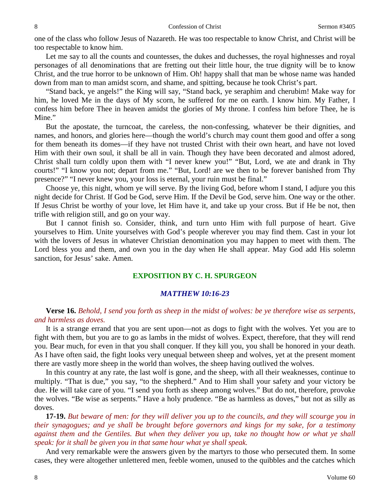one of the class who follow Jesus of Nazareth. He was too respectable to know Christ, and Christ will be too respectable to know him.

Let me say to all the counts and countesses, the dukes and duchesses, the royal highnesses and royal personages of all denominations that are fretting out their little hour, the true dignity will be to know Christ, and the true horror to be unknown of Him. Oh! happy shall that man be whose name was handed down from man to man amidst scorn, and shame, and spitting, because he took Christ's part.

"Stand back, ye angels!" the King will say, "Stand back, ye seraphim and cherubim! Make way for him, he loved Me in the days of My scorn, he suffered for me on earth. I know him. My Father, I confess him before Thee in heaven amidst the glories of My throne. I confess him before Thee, he is Mine."

But the apostate, the turncoat, the careless, the non-confessing, whatever be their dignities, and names, and honors, and glories here—though the world's church may count them good and offer a song for them beneath its domes—if they have not trusted Christ with their own heart, and have not loved Him with their own soul, it shall be all in vain. Though they have been decorated and almost adored, Christ shall turn coldly upon them with "I never knew you!" "But, Lord, we ate and drank in Thy courts!" "I know you not; depart from me." "But, Lord! are we then to be forever banished from Thy presence?" "I never knew you, your loss is eternal, your ruin must be final."

Choose ye, this night, whom ye will serve. By the living God, before whom I stand, I adjure you this night decide for Christ. If God be God, serve Him. If the Devil be God, serve him. One way or the other. If Jesus Christ be worthy of your love, let Him have it, and take up your cross. But if He be not, then trifle with religion still, and go on your way.

But I cannot finish so. Consider, think, and turn unto Him with full purpose of heart. Give yourselves to Him. Unite yourselves with God's people wherever you may find them. Cast in your lot with the lovers of Jesus in whatever Christian denomination you may happen to meet with them. The Lord bless you and them, and own you in the day when He shall appear. May God add His solemn sanction, for Jesus' sake. Amen.

# **EXPOSITION BY C. H. SPURGEON**

# *MATTHEW 10:16-23*

**Verse 16.** *Behold, I send you forth as sheep in the midst of wolves: be ye therefore wise as serpents, and harmless as doves.*

It is a strange errand that you are sent upon—not as dogs to fight with the wolves. Yet you are to fight with them, but you are to go as lambs in the midst of wolves. Expect, therefore, that they will rend you. Bear much, for even in that you shall conquer. If they kill you, you shall be honored in your death. As I have often said, the fight looks very unequal between sheep and wolves, yet at the present moment there are vastly more sheep in the world than wolves, the sheep having outlived the wolves.

In this country at any rate, the last wolf is gone, and the sheep, with all their weaknesses, continue to multiply. "That is due," you say, "to the shepherd." And to Him shall your safety and your victory be due. He will take care of you. "I send you forth as sheep among wolves." But do not, therefore, provoke the wolves. "Be wise as serpents." Have a holy prudence. "Be as harmless as doves," but not as silly as doves.

**17-19.** *But beware of men: for they will deliver you up to the councils, and they will scourge you in their synagogues; and ye shall be brought before governors and kings for my sake, for a testimony against them and the Gentiles. But when they deliver you up, take no thought how or what ye shall speak: for it shall be given you in that same hour what ye shall speak.*

And very remarkable were the answers given by the martyrs to those who persecuted them. In some cases, they were altogether unlettered men, feeble women, unused to the quibbles and the catches which